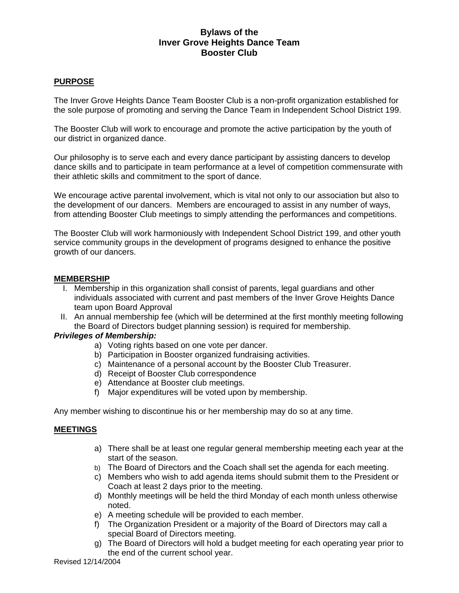# **Bylaws of the Inver Grove Heights Dance Team Booster Club**

## **PURPOSE**

The Inver Grove Heights Dance Team Booster Club is a non-profit organization established for the sole purpose of promoting and serving the Dance Team in Independent School District 199.

The Booster Club will work to encourage and promote the active participation by the youth of our district in organized dance.

Our philosophy is to serve each and every dance participant by assisting dancers to develop dance skills and to participate in team performance at a level of competition commensurate with their athletic skills and commitment to the sport of dance.

We encourage active parental involvement, which is vital not only to our association but also to the development of our dancers. Members are encouraged to assist in any number of ways, from attending Booster Club meetings to simply attending the performances and competitions.

The Booster Club will work harmoniously with Independent School District 199, and other youth service community groups in the development of programs designed to enhance the positive growth of our dancers.

### **MEMBERSHIP**

- I. Membership in this organization shall consist of parents, legal guardians and other individuals associated with current and past members of the Inver Grove Heights Dance team upon Board Approval
- II. An annual membership fee (which will be determined at the first monthly meeting following the Board of Directors budget planning session) is required for membership.

### *Privileges of Membership:*

- a) Voting rights based on one vote per dancer.
- b) Participation in Booster organized fundraising activities.
- c) Maintenance of a personal account by the Booster Club Treasurer.
- d) Receipt of Booster Club correspondence
- e) Attendance at Booster club meetings.
- f) Major expenditures will be voted upon by membership.

Any member wishing to discontinue his or her membership may do so at any time.

#### **MEETINGS**

- a) There shall be at least one regular general membership meeting each year at the start of the season.
- b) The Board of Directors and the Coach shall set the agenda for each meeting.
- c) Members who wish to add agenda items should submit them to the President or Coach at least 2 days prior to the meeting.
- d) Monthly meetings will be held the third Monday of each month unless otherwise noted.
- e) A meeting schedule will be provided to each member.
- f) The Organization President or a majority of the Board of Directors may call a special Board of Directors meeting.
- g) The Board of Directors will hold a budget meeting for each operating year prior to the end of the current school year.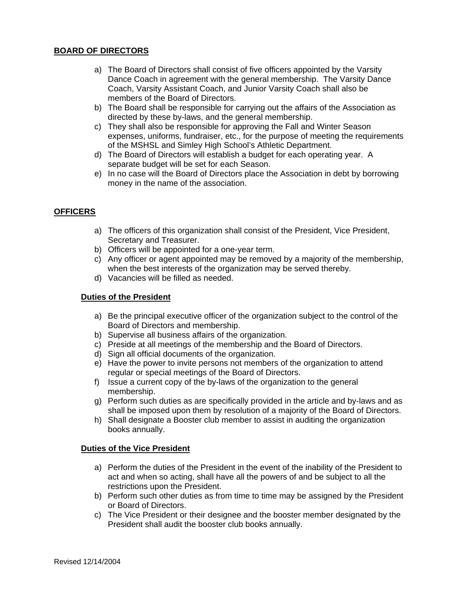### **BOARD OF DIRECTORS**

- a) The Board of Directors shall consist of five officers appointed by the Varsity Dance Coach in agreement with the general membership. The Varsity Dance Coach, Varsity Assistant Coach, and Junior Varsity Coach shall also be members of the Board of Directors.
- b) The Board shall be responsible for carrying out the affairs of the Association as directed by these by-laws, and the general membership.
- c) They shall also be responsible for approving the Fall and Winter Season expenses, uniforms, fundraiser, etc., for the purpose of meeting the requirements of the MSHSL and Simley High School's Athletic Department.
- d) The Board of Directors will establish a budget for each operating year. A separate budget will be set for each Season.
- e) In no case will the Board of Directors place the Association in debt by borrowing money in the name of the association.

### **OFFICERS**

- a) The officers of this organization shall consist of the President, Vice President, Secretary and Treasurer.
- b) Officers will be appointed for a one-year term.
- c) Any officer or agent appointed may be removed by a majority of the membership, when the best interests of the organization may be served thereby.
- d) Vacancies will be filled as needed.

#### **Duties of the President**

- a) Be the principal executive officer of the organization subject to the control of the Board of Directors and membership.
- b) Supervise all business affairs of the organization.
- c) Preside at all meetings of the membership and the Board of Directors.
- d) Sign all official documents of the organization.
- e) Have the power to invite persons not members of the organization to attend regular or special meetings of the Board of Directors.
- f) Issue a current copy of the by-laws of the organization to the general membership.
- g) Perform such duties as are specifically provided in the article and by-laws and as shall be imposed upon them by resolution of a majority of the Board of Directors.
- h) Shall designate a Booster club member to assist in auditing the organization books annually.

#### **Duties of the Vice President**

- a) Perform the duties of the President in the event of the inability of the President to act and when so acting, shall have all the powers of and be subject to all the restrictions upon the President.
- b) Perform such other duties as from time to time may be assigned by the President or Board of Directors.
- c) The Vice President or their designee and the booster member designated by the President shall audit the booster club books annually.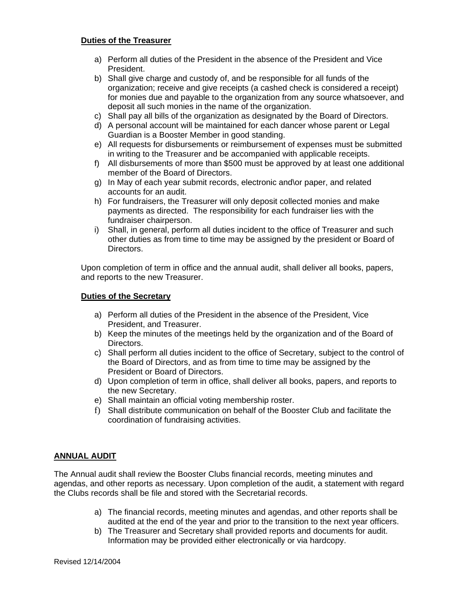### **Duties of the Treasurer**

- a) Perform all duties of the President in the absence of the President and Vice President.
- b) Shall give charge and custody of, and be responsible for all funds of the organization; receive and give receipts (a cashed check is considered a receipt) for monies due and payable to the organization from any source whatsoever, and deposit all such monies in the name of the organization.
- c) Shall pay all bills of the organization as designated by the Board of Directors.
- d) A personal account will be maintained for each dancer whose parent or Legal Guardian is a Booster Member in good standing.
- e) All requests for disbursements or reimbursement of expenses must be submitted in writing to the Treasurer and be accompanied with applicable receipts.
- f) All disbursements of more than \$500 must be approved by at least one additional member of the Board of Directors.
- g) In May of each year submit records, electronic and\or paper, and related accounts for an audit.
- h) For fundraisers, the Treasurer will only deposit collected monies and make payments as directed. The responsibility for each fundraiser lies with the fundraiser chairperson.
- i) Shall, in general, perform all duties incident to the office of Treasurer and such other duties as from time to time may be assigned by the president or Board of Directors.

Upon completion of term in office and the annual audit, shall deliver all books, papers, and reports to the new Treasurer.

#### **Duties of the Secretary**

- a) Perform all duties of the President in the absence of the President, Vice President, and Treasurer.
- b) Keep the minutes of the meetings held by the organization and of the Board of Directors.
- c) Shall perform all duties incident to the office of Secretary, subject to the control of the Board of Directors, and as from time to time may be assigned by the President or Board of Directors.
- d) Upon completion of term in office, shall deliver all books, papers, and reports to the new Secretary.
- e) Shall maintain an official voting membership roster.
- f) Shall distribute communication on behalf of the Booster Club and facilitate the coordination of fundraising activities.

#### **ANNUAL AUDIT**

The Annual audit shall review the Booster Clubs financial records, meeting minutes and agendas, and other reports as necessary. Upon completion of the audit, a statement with regard the Clubs records shall be file and stored with the Secretarial records.

- a) The financial records, meeting minutes and agendas, and other reports shall be audited at the end of the year and prior to the transition to the next year officers.
- b) The Treasurer and Secretary shall provided reports and documents for audit. Information may be provided either electronically or via hardcopy.